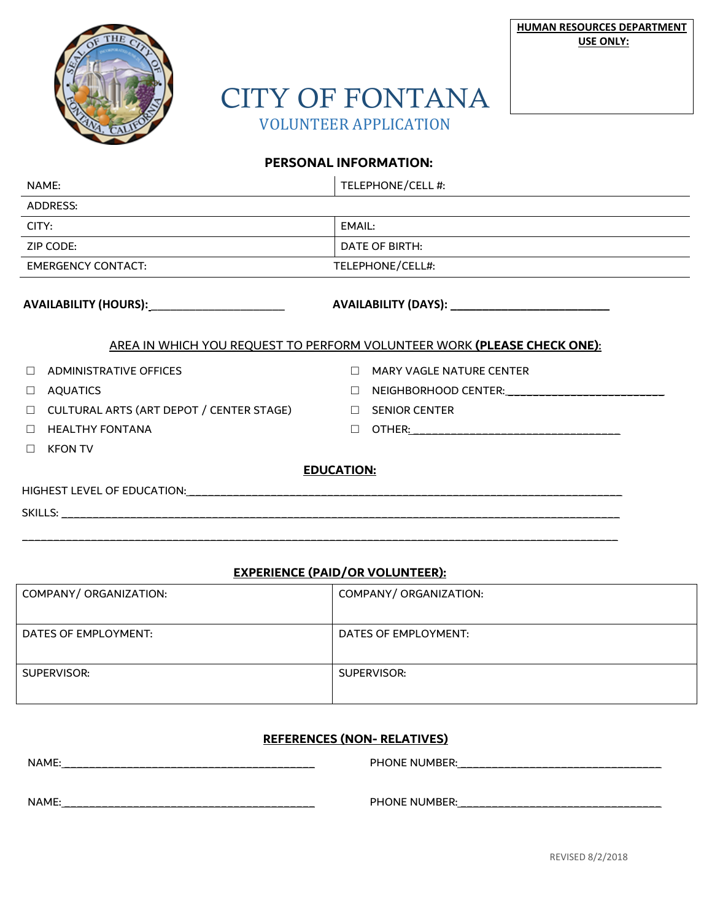



# CITY OF FONTANA VOLUNTEER APPLICATION

### **PERSONAL INFORMATION:**

| NAME:                                                                   |                                          |        | TELEPHONE/CELL #:                               |  |
|-------------------------------------------------------------------------|------------------------------------------|--------|-------------------------------------------------|--|
| <b>ADDRESS:</b>                                                         |                                          |        |                                                 |  |
| CITY:                                                                   |                                          |        | EMAIL:                                          |  |
| ZIP CODE:                                                               |                                          |        | DATE OF BIRTH:                                  |  |
| <b>EMERGENCY CONTACT:</b>                                               |                                          |        | TELEPHONE/CELL#:                                |  |
| AVAILABILITY (HOURS):_______________________                            |                                          |        | AVAILABILITY (DAYS): __________________________ |  |
| AREA IN WHICH YOU REQUEST TO PERFORM VOLUNTEER WORK (PLEASE CHECK ONE): |                                          |        |                                                 |  |
| $\Box$                                                                  | <b>ADMINISTRATIVE OFFICES</b>            |        | $\Box$ MARY VAGLE NATURE CENTER                 |  |
| $\Box$                                                                  | AQUATICS                                 |        | $\Box$ NEIGHBORHOOD CENTER: $\Box$              |  |
| $\Box$                                                                  | CULTURAL ARTS (ART DEPOT / CENTER STAGE) |        | $\Box$ SENIOR CENTER                            |  |
| $\Box$                                                                  | <b>HEALTHY FONTANA</b>                   | $\Box$ |                                                 |  |
| $\Box$                                                                  | <b>KFON TV</b>                           |        |                                                 |  |
| <b>EDUCATION:</b>                                                       |                                          |        |                                                 |  |
|                                                                         |                                          |        |                                                 |  |
|                                                                         |                                          |        |                                                 |  |

#### **EXPERIENCE (PAID/OR VOLUNTEER):**

| COMPANY/ ORGANIZATION: | COMPANY/ ORGANIZATION: |
|------------------------|------------------------|
| DATES OF EMPLOYMENT:   | DATES OF EMPLOYMENT:   |
| SUPERVISOR:            | SUPERVISOR:            |

#### **REFERENCES (NON- RELATIVES)**

NAME: \_\_\_\_\_\_\_\_\_\_\_\_\_\_\_\_\_\_\_\_\_\_\_\_\_\_\_\_\_\_\_\_\_\_\_\_\_\_\_\_ PHONE NUMBER: \_\_\_\_\_\_\_\_\_\_\_\_\_\_\_\_\_\_\_\_\_\_\_\_\_\_\_\_\_\_\_\_

NAME: \_\_\_\_\_\_\_\_\_\_\_\_\_\_\_\_\_\_\_\_\_\_\_\_\_\_\_\_\_\_\_\_\_\_\_\_\_\_\_\_ PHONE NUMBER: \_\_\_\_\_\_\_\_\_\_\_\_\_\_\_\_\_\_\_\_\_\_\_\_\_\_\_\_\_\_\_\_